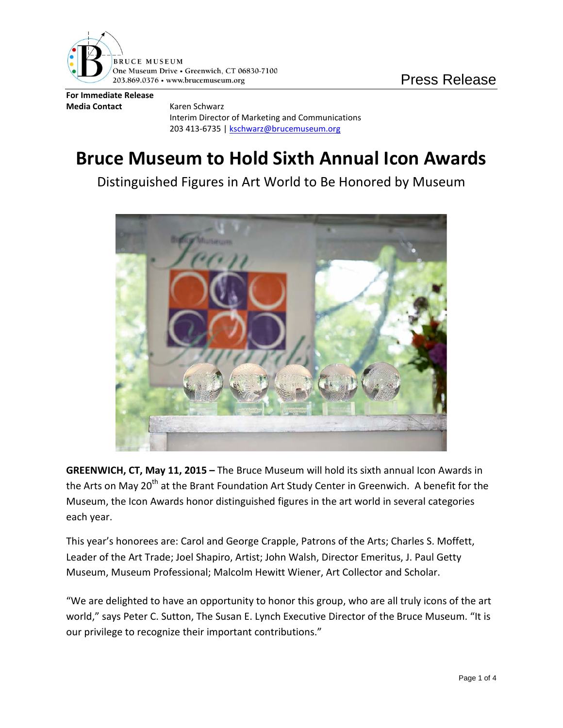

**For Immediate Release Media Contact** Karen Schwarz

Interim Director of Marketing and Communications 203 413-6735 [| kschwarz@brucemuseum.org](mailto:kschwarz@brucemuseum.org)

## **Bruce Museum to Hold Sixth Annual Icon Awards**

Distinguished Figures in Art World to Be Honored by Museum



**GREENWICH, CT, May 11, 2015 –** The Bruce Museum will hold its sixth annual Icon Awards in the Arts on May 20<sup>th</sup> at the Brant Foundation Art Study Center in Greenwich. A benefit for the Museum, the Icon Awards honor distinguished figures in the art world in several categories each year.

This year's honorees are: Carol and George Crapple, Patrons of the Arts; Charles S. Moffett, Leader of the Art Trade; Joel Shapiro, Artist; John Walsh, Director Emeritus, J. Paul Getty Museum, Museum Professional; Malcolm Hewitt Wiener, Art Collector and Scholar.

"We are delighted to have an opportunity to honor this group, who are all truly icons of the art world," says Peter C. Sutton, The Susan E. Lynch Executive Director of the Bruce Museum. "It is our privilege to recognize their important contributions."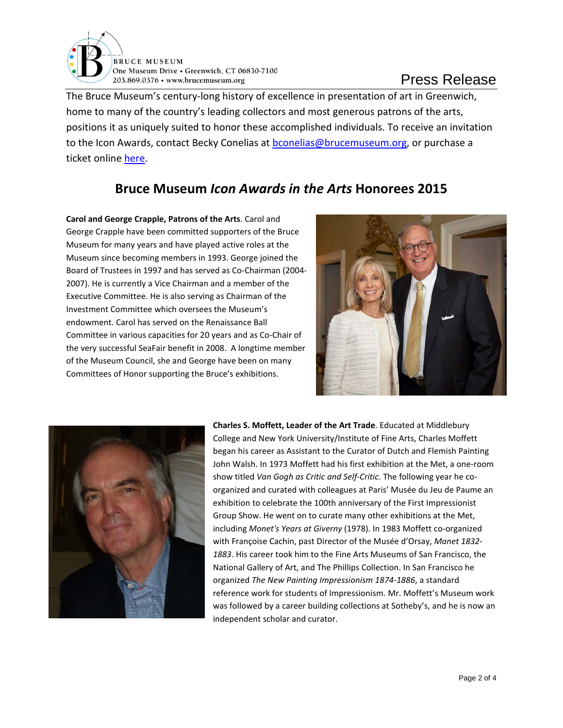

The Bruce Museum's century-long history of excellence in presentation of art in Greenwich, home to many of the country's leading collectors and most generous patrons of the arts, positions it as uniquely suited to honor these accomplished individuals. To receive an invitation to the Icon Awards, contact Becky Conelias at [bconelias@brucemuseum.org,](mailto:bconelias@brucemuseum.org) or purchase a ticket online [here.](http://www.eventbrite.com/e/icon-awards-in-the-arts-2015-tickets-15836031998)

## **Bruce Museum** *Icon Awards in the Arts* **Honorees 2015**

**Carol and George Crapple, Patrons of the Arts**. Carol and George Crapple have been committed supporters of the Bruce Museum for many years and have played active roles at the Museum since becoming members in 1993. George joined the Board of Trustees in 1997 and has served as Co-Chairman (2004- 2007). He is currently a Vice Chairman and a member of the Executive Committee. He is also serving as Chairman of the Investment Committee which oversees the Museum's endowment. Carol has served on the Renaissance Ball Committee in various capacities for 20 years and as Co-Chair of the very successful SeaFair benefit in 2008. A longtime member of the Museum Council, she and George have been on many Committees of Honor supporting the Bruce's exhibitions.





**Charles S. Moffett, Leader of the Art Trade**. Educated at Middlebury College and New York University/Institute of Fine Arts, Charles Moffett began his career as Assistant to the Curator of Dutch and Flemish Painting John Walsh. In 1973 Moffett had his first exhibition at the Met, a one-room show titled *Van Gogh as Critic and Self-Critic*. The following year he coorganized and curated with colleagues at Paris' Musée du Jeu de Paume an exhibition to celebrate the 100th anniversary of the First Impressionist Group Show. He went on to curate many other exhibitions at the Met, including *Monet's Years at Giverny* (1978). In 1983 Moffett co-organized with Françoise Cachin, past Director of the Musée d'Orsay, *Manet 1832- 1883*. His career took him to the Fine Arts Museums of San Francisco, the National Gallery of Art, and The Phillips Collection. In San Francisco he organized *The New Painting Impressionism 1874-1886*, a standard reference work for students of Impressionism. Mr. Moffett's Museum work was followed by a career building collections at Sotheby's, and he is now an independent scholar and curator.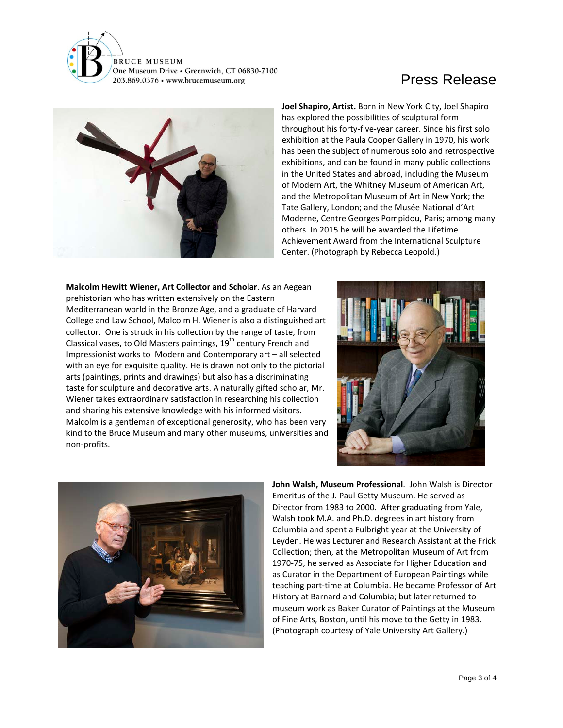

## Press Release



**Joel Shapiro, Artist.** Born in New York City, Joel Shapiro has explored the possibilities of sculptural form throughout his forty-five-year career. Since his first solo exhibition at the Paula Cooper Gallery in 1970, his work has been the subject of numerous solo and retrospective exhibitions, and can be found in many public collections in the United States and abroad, including the Museum of Modern Art, the Whitney Museum of American Art, and the Metropolitan Museum of Art in New York; the Tate Gallery, London; and the Musée National d'Art Moderne, Centre Georges Pompidou, Paris; among many others. In 2015 he will be awarded the Lifetime Achievement Award from the International Sculpture Center. (Photograph by Rebecca Leopold.)

**Malcolm Hewitt Wiener, Art Collector and Scholar**. As an Aegean prehistorian who has written extensively on the Eastern Mediterranean world in the Bronze Age, and a graduate of Harvard College and Law School, Malcolm H. Wiener is also a distinguished art collector. One is struck in his collection by the range of taste, from Classical vases, to Old Masters paintings,  $19<sup>th</sup>$  century French and Impressionist works to Modern and Contemporary art – all selected with an eye for exquisite quality. He is drawn not only to the pictorial arts (paintings, prints and drawings) but also has a discriminating taste for sculpture and decorative arts. A naturally gifted scholar, Mr. Wiener takes extraordinary satisfaction in researching his collection and sharing his extensive knowledge with his informed visitors. Malcolm is a gentleman of exceptional generosity, who has been very kind to the Bruce Museum and many other museums, universities and non-profits.





**John Walsh, Museum Professional**. John Walsh is Director Emeritus of the J. Paul Getty Museum. He served as Director from 1983 to 2000. After graduating from Yale, Walsh took M.A. and Ph.D. degrees in art history from Columbia and spent a Fulbright year at the University of Leyden. He was Lecturer and Research Assistant at the Frick Collection; then, at the Metropolitan Museum of Art from 1970-75, he served as Associate for Higher Education and as Curator in the Department of European Paintings while teaching part-time at Columbia. He became Professor of Art History at Barnard and Columbia; but later returned to museum work as Baker Curator of Paintings at the Museum of Fine Arts, Boston, until his move to the Getty in 1983. (Photograph courtesy of Yale University Art Gallery.)